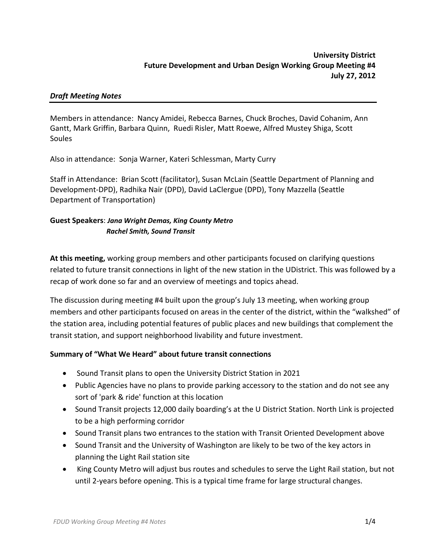## *Draft Meeting Notes*

Members in attendance: Nancy Amidei, Rebecca Barnes, Chuck Broches, David Cohanim, Ann Gantt, Mark Griffin, Barbara Quinn, Ruedi Risler, Matt Roewe, Alfred Mustey Shiga, Scott Soules

Also in attendance: Sonja Warner, Kateri Schlessman, Marty Curry

Staff in Attendance: Brian Scott (facilitator), Susan McLain (Seattle Department of Planning and Development‐DPD), Radhika Nair (DPD), David LaClergue (DPD), Tony Mazzella (Seattle Department of Transportation)

# **Guest Speakers**: *Jana Wright Demas, King County Metro Rachel Smith, Sound Transit*

**At this meeting,** working group members and other participants focused on clarifying questions related to future transit connections in light of the new station in the UDistrict. This was followed by a recap of work done so far and an overview of meetings and topics ahead.

The discussion during meeting #4 built upon the group's July 13 meeting, when working group members and other participants focused on areas in the center of the district, within the "walkshed" of the station area, including potential features of public places and new buildings that complement the transit station, and support neighborhood livability and future investment.

## **Summary of "What We Heard" about future transit connections**

- Sound Transit plans to open the University District Station in 2021
- Public Agencies have no plans to provide parking accessory to the station and do not see any sort of 'park & ride' function at this location
- Sound Transit projects 12,000 daily boarding's at the U District Station. North Link is projected to be a high performing corridor
- Sound Transit plans two entrances to the station with Transit Oriented Development above
- Sound Transit and the University of Washington are likely to be two of the key actors in planning the Light Rail station site
- King County Metro will adjust bus routes and schedules to serve the Light Rail station, but not until 2‐years before opening. This is a typical time frame for large structural changes.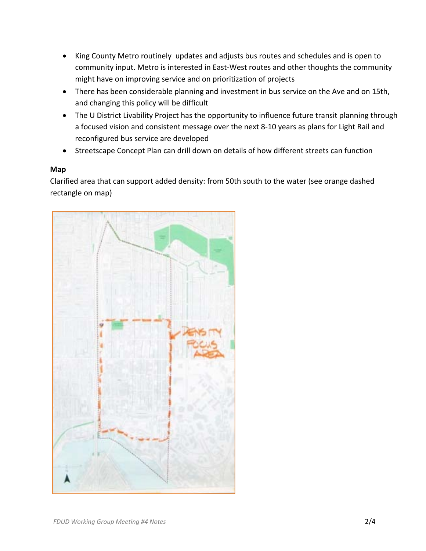- King County Metro routinely updates and adjusts bus routes and schedules and is open to community input. Metro is interested in East‐West routes and other thoughts the community might have on improving service and on prioritization of projects
- There has been considerable planning and investment in bus service on the Ave and on 15th, and changing this policy will be difficult
- The U District Livability Project has the opportunity to influence future transit planning through a focused vision and consistent message over the next 8‐10 years as plans for Light Rail and reconfigured bus service are developed
- Streetscape Concept Plan can drill down on details of how different streets can function

## **Map**

Clarified area that can support added density: from 50th south to the water (see orange dashed rectangle on map)

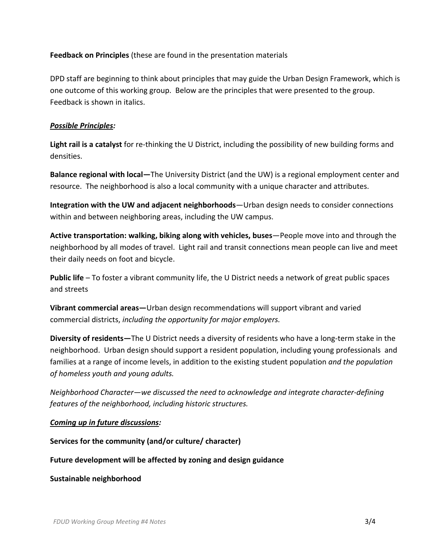## **Feedback on Principles** (these are found in the presentation materials

DPD staff are beginning to think about principles that may guide the Urban Design Framework, which is one outcome of this working group. Below are the principles that were presented to the group. Feedback is shown in italics.

### *Possible Principles:*

**Light rail is a catalyst** for re‐thinking the U District, including the possibility of new building forms and densities.

**Balance regional with local—**The University District (and the UW) is a regional employment center and resource. The neighborhood is also a local community with a unique character and attributes.

**Integration with the UW and adjacent neighborhoods**—Urban design needs to consider connections within and between neighboring areas, including the UW campus.

**Active transportation: walking, biking along with vehicles, buses**—People move into and through the neighborhood by all modes of travel. Light rail and transit connections mean people can live and meet their daily needs on foot and bicycle.

**Public life** – To foster a vibrant community life, the U District needs a network of great public spaces and streets

**Vibrant commercial areas—**Urban design recommendations will support vibrant and varied commercial districts, *including the opportunity for major employers.* 

**Diversity of residents—**The U District needs a diversity of residents who have a long‐term stake in the neighborhood. Urban design should support a resident population, including young professionals and families at a range of income levels, in addition to the existing student population *and the population of homeless youth and young adults.* 

*Neighborhood Character—we discussed the need to acknowledge and integrate character‐defining features of the neighborhood, including historic structures.* 

### *Coming up in future discussions:*

**Services for the community (and/or culture/ character)**

### **Future development will be affected by zoning and design guidance**

**Sustainable neighborhood**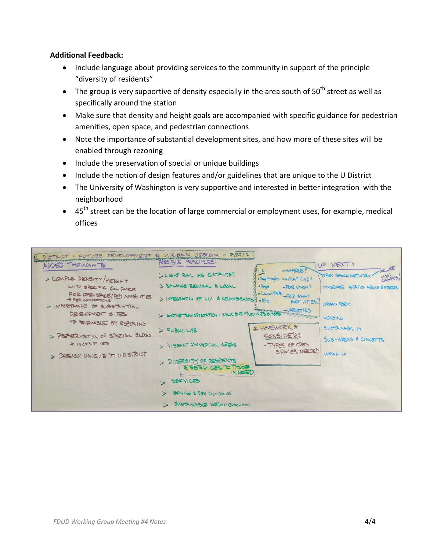### **Additional Feedback:**

- Include language about providing services to the community in support of the principle "diversity of residents"
- $\bullet$  The group is very supportive of density especially in the area south of 50<sup>th</sup> street as well as specifically around the station
- Make sure that density and height goals are accompanied with specific guidance for pedestrian amenities, open space, and pedestrian connections
- Note the importance of substantial development sites, and how more of these sites will be enabled through rezoning
- Include the preservation of special or unique buildings
- Include the notion of design features and/or guidelines that are unique to the U District
- The University of Washington is very supportive and interested in better integration with the neighborhood
- 45<sup>th</sup> street can be the location of large commercial or employment uses, for example, medical offices